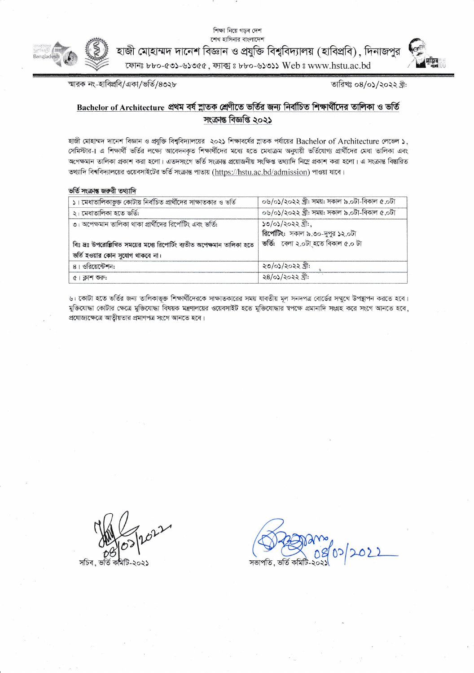



হাজী মোহাম্মদ দানেশ বিজ্ঞান ও প্রযুক্তি বিশ্ববিদ্যালয় (হাবিপ্রবি), দিনাজপুর

ফোনঃ ৮৮০-৫৩১-৬১৩৫৫, ফ্যাক্স ঃ ৮৮০-৬১৩১১ Web ঃ www.hstu.ac.bd

স্মারক নং-হাবিপ্রবি/একা/ভর্তি/৪৩২৮

তারিখঃ ০৪/০১/২০২২ খ্রী:

#### Bachelor of Architecture প্রথম বর্ষ স্নাতক শ্রেণীতে ভর্তির জন্য নির্বাচিত শিক্ষার্থীদের তালিকা ও ভর্তি সংক্ৰান্ত বিজ্ঞপ্তি ২০২১

হাজী মোহাম্মদ দানেশ বিজ্ঞান ও প্রযুক্তি বিশ্ববিদ্যালয়ের ২০২১ শিক্ষাবর্ষের স্নাতক পর্যায়ের Bachelor of Architecture লেভেল ১, সেমিস্টার-1 এ শিক্ষার্থী ভর্তির লক্ষ্যে আবেদনকৃত শিক্ষার্থীদের মধ্যে হতে মেধাক্রম অনুযায়ী ভর্তিযোগ্য প্রার্থীদের মেধা তালিকা এবং অপেক্ষমান তালিকা প্রকাশ করা হলো। এতদসংগে ভর্তি সংক্রান্ত প্রয়োজনীয় সংক্ষিপ্ত তথ্যাদি নিম্নে প্রকাশ করা হলো। এ সংক্রান্ত বিস্তারিত তথ্যাদি বিশ্ববিদ্যালয়ের ওয়েবসাইটের ভর্তি সংক্রান্ত পাতায় (https://hstu.ac.bd/admission) পাওয়া যাবে।

#### ভৰ্তি সংক্ৰান্ত জরুরী তথ্যাদি

| ১। মেধাতালিকাভুক্ত কোটায় নির্বাচিত প্রার্থীদের সাক্ষাতকার ও ভর্তি      | ০৬/০১/২০২২ খ্ৰী: সময়: সকাল ৯.০টা-বিকাল ৫.০টা |
|-------------------------------------------------------------------------|-----------------------------------------------|
| ২। মেধাতালিকা হতে ভৰ্তি:                                                | ০৬/০১/২০২২ খ্ৰী: সময়: সকাল ৯.০টা-বিকাল ৫.০টা |
| ৩। অপেক্ষমান তালিকা থাকা প্রার্থীদের রির্পোটিং এবং ভর্তি:               | ১৩/০১/২০২২ খ্ৰী:.                             |
|                                                                         | রিপোটিং: সকাল ৯.৩০-দুপুর ১২.০টা               |
| বিঃ দ্রঃ উপরোল্লিখিত সময়ের মধ্যে রিপোর্টিং ব্যতীত অপেক্ষমান তালিকা হতে | ভৰ্তি: বেলা ২.০টা হতে বিকাল ৫.০ টা            |
| ভর্তি হওয়ার কোন সুযোগ থাকবে না।                                        |                                               |
| $8$ । ওরিয়েন্টেশন:                                                     | ২৩/০১/২০২২ খ্ৰী:                              |
| ৫। ক্লাশ শুরু:                                                          | ২৪/০১/২০২২ খ্ৰী:                              |

৬। কোটা হতে ভর্তির জন্য তালিকাভূক্ত শিক্ষার্থীদেরকে সাক্ষাতকারের সময় যাবতীয় মূল সনদপত্র বোর্ডের সম্মুখে উপয়াপন করতে হবে। মুক্তিযোদ্ধা কোটার ক্ষেত্রে মুক্তিযোদ্ধা বিষয়ক মন্ত্রণালয়ের ওয়েবসাইট হতে মুক্তিযোদ্ধার স্বপক্ষে প্রমানাদি সংগ্রহ করে সংগে আনতে হবে, প্রযোজ্যক্ষেত্রে আত্বীয়তার প্রমাণপত্র সংগে আনতে হবে।

সচিব ভৰ্তি ক

সভাপতি. ভৰ্তি কমিা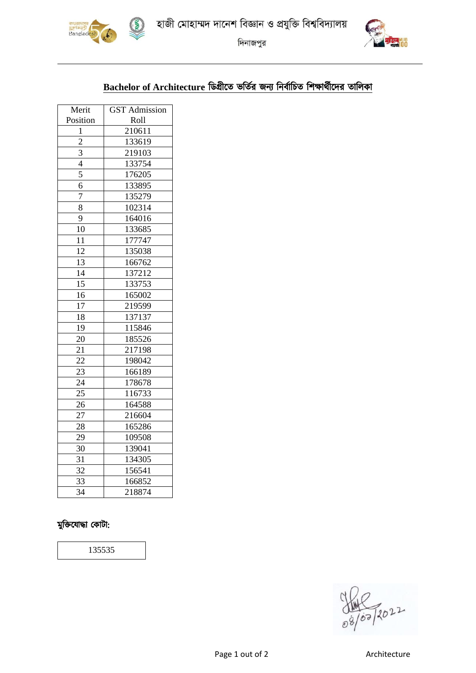

দিনাজপুর



## Bachelor of Architecture ডিগ্রীতে ভর্তির জন্য নির্বাচিত শিক্ষার্থীদের তালিকা

| Merit          | <b>GST</b> Admission |
|----------------|----------------------|
| Position       | Roll                 |
| 1              | 210611               |
| $\overline{2}$ | 133619               |
| 3              | 219103               |
| $\overline{4}$ | 133754               |
| 5              | 176205               |
| 6              | 133895               |
| $\overline{7}$ | 135279               |
| 8              | 102314               |
| 9              | 164016               |
| 10             | 133685               |
| 11             | 177747               |
| 12             | 135038               |
| 13             | 166762               |
| 14             | 137212               |
| 15             | 133753               |
| 16             | 165002               |
| 17             | 219599               |
| 18             | 137137               |
| 19             | 115846               |
| 20             | 185526               |
| 21             | 217198               |
| 22             | 198042               |
| 23             | 166189               |
| 24             | 178678               |
| 25             | 116733               |
| 26             | 164588               |
| 27             | 216604               |
| 28             | 165286               |
| 29             | 109508               |
| 30             | 139041               |
| 31             | 134305               |
| 32             | 156541               |
| 33             | 166852               |
| 34             | 218874               |

### মুক্তিযোদ্ধা কোটা:

08/07/2022